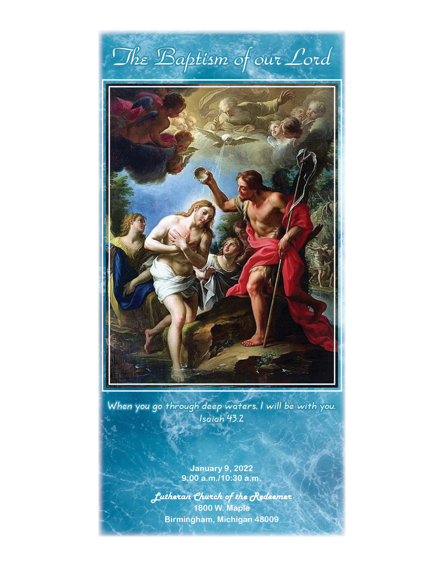

When you go through deep waters, I will be with you. Isaiah 43:2

> **January 9, 2022** 9:00 a.m./10:30 a.m.

futheran Church of the Redeemer 1800 W. Maple Birmingham, Michigan 48009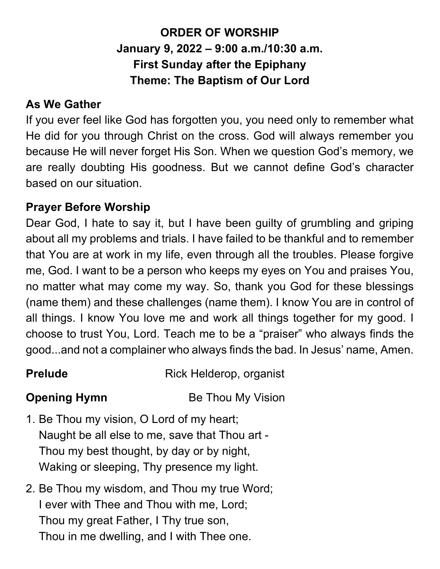# **ORDER OF WORSHIP January 9, 2022 – 9:00 a.m./10:30 a.m. First Sunday after the Epiphany Theme: The Baptism of Our Lord**

### **As We Gather**

If you ever feel like God has forgotten you, you need only to remember what He did for you through Christ on the cross. God will always remember you because He will never forget His Son. When we question God's memory, we are really doubting His goodness. But we cannot define God's character based on our situation.

### **Prayer Before Worship**

Dear God, I hate to say it, but I have been guilty of grumbling and griping about all my problems and trials. I have failed to be thankful and to remember that You are at work in my life, even through all the troubles. Please forgive me, God. I want to be a person who keeps my eyes on You and praises You, no matter what may come my way. So, thank you God for these blessings (name them) and these challenges (name them). I know You are in control of all things. I know You love me and work all things together for my good. I choose to trust You, Lord. Teach me to be a "praiser" who always finds the good...and not a complainer who always finds the bad. In Jesus' name, Amen.

**Prelude** Rick Helderop, organist

**Opening Hymn** Be Thou My Vision

- 1. Be Thou my vision, O Lord of my heart; Naught be all else to me, save that Thou art - Thou my best thought, by day or by night, Waking or sleeping, Thy presence my light.
- 2. Be Thou my wisdom, and Thou my true Word; I ever with Thee and Thou with me, Lord; Thou my great Father, I Thy true son, Thou in me dwelling, and I with Thee one.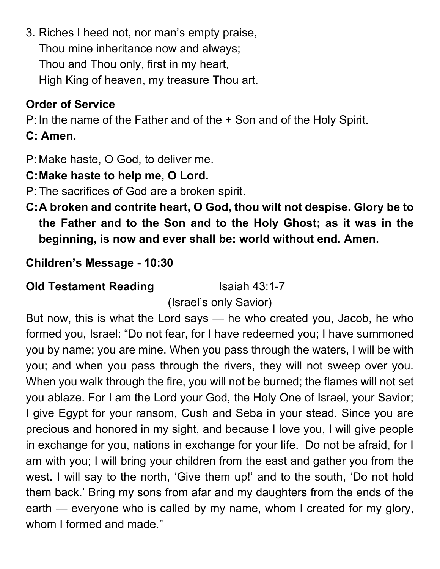3. Riches I heed not, nor man's empty praise, Thou mine inheritance now and always; Thou and Thou only, first in my heart, High King of heaven, my treasure Thou art.

# **Order of Service**

P: In the name of the Father and of the + Son and of the Holy Spirit.

# **C: Amen.**

P: Make haste, O God, to deliver me.

## **C:Make haste to help me, O Lord.**

P: The sacrifices of God are a broken spirit.

**C:A broken and contrite heart, O God, thou wilt not despise. Glory be to the Father and to the Son and to the Holy Ghost; as it was in the beginning, is now and ever shall be: world without end. Amen.**

# **Children's Message - 10:30**

## **Old Testament Reading Isaiah 43:1-7**

(Israel's only Savior)

But now, this is what the Lord says — he who created you, Jacob, he who formed you, Israel: "Do not fear, for I have redeemed you; I have summoned you by name; you are mine. When you pass through the waters, I will be with you; and when you pass through the rivers, they will not sweep over you. When you walk through the fire, you will not be burned; the flames will not set you ablaze. For I am the Lord your God, the Holy One of Israel, your Savior; I give Egypt for your ransom, Cush and Seba in your stead. Since you are precious and honored in my sight, and because I love you, I will give people in exchange for you, nations in exchange for your life. Do not be afraid, for I am with you; I will bring your children from the east and gather you from the west. I will say to the north, 'Give them up!' and to the south, 'Do not hold them back.' Bring my sons from afar and my daughters from the ends of the earth — everyone who is called by my name, whom I created for my glory, whom I formed and made."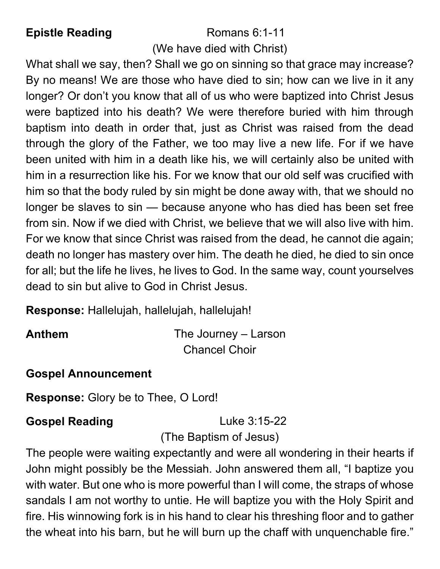# **Epistle Reading Epistle Reading**

(We have died with Christ)

What shall we say, then? Shall we go on sinning so that grace may increase? By no means! We are those who have died to sin; how can we live in it any longer? Or don't you know that all of us who were baptized into Christ Jesus were baptized into his death? We were therefore buried with him through baptism into death in order that, just as Christ was raised from the dead through the glory of the Father, we too may live a new life. For if we have been united with him in a death like his, we will certainly also be united with him in a resurrection like his. For we know that our old self was crucified with him so that the body ruled by sin might be done away with, that we should no longer be slaves to sin — because anyone who has died has been set free from sin. Now if we died with Christ, we believe that we will also live with him. For we know that since Christ was raised from the dead, he cannot die again; death no longer has mastery over him. The death he died, he died to sin once for all; but the life he lives, he lives to God. In the same way, count yourselves dead to sin but alive to God in Christ Jesus.

**Response:** Hallelujah, hallelujah, hallelujah!

**Anthem** The Journey – Larson Chancel Choir

## **Gospel Announcement**

**Response:** Glory be to Thee, O Lord!

## **Gospel Reading Luke 3:15-22**

(The Baptism of Jesus)

The people were waiting expectantly and were all wondering in their hearts if John might possibly be the Messiah. John answered them all, "I baptize you with water. But one who is more powerful than I will come, the straps of whose sandals I am not worthy to untie. He will baptize you with the Holy Spirit and fire. His winnowing fork is in his hand to clear his threshing floor and to gather the wheat into his barn, but he will burn up the chaff with unquenchable fire."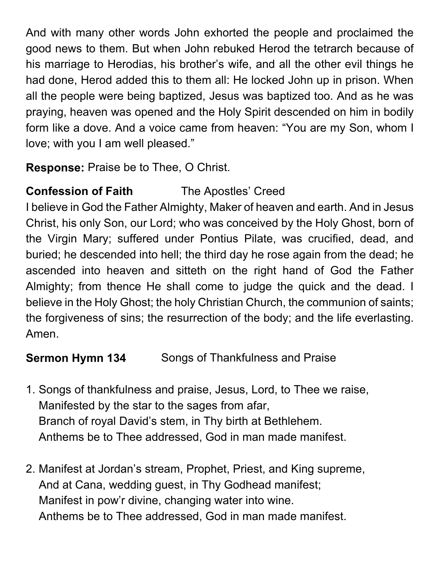And with many other words John exhorted the people and proclaimed the good news to them. But when John rebuked Herod the tetrarch because of his marriage to Herodias, his brother's wife, and all the other evil things he had done, Herod added this to them all: He locked John up in prison. When all the people were being baptized, Jesus was baptized too. And as he was praying, heaven was opened and the Holy Spirit descended on him in bodily form like a dove. And a voice came from heaven: "You are my Son, whom I love; with you I am well pleased."

**Response:** Praise be to Thee, O Christ.

# **Confession of Faith** The Apostles' Creed

I believe in God the Father Almighty, Maker of heaven and earth. And in Jesus Christ, his only Son, our Lord; who was conceived by the Holy Ghost, born of the Virgin Mary; suffered under Pontius Pilate, was crucified, dead, and buried; he descended into hell; the third day he rose again from the dead; he ascended into heaven and sitteth on the right hand of God the Father Almighty; from thence He shall come to judge the quick and the dead. I believe in the Holy Ghost; the holy Christian Church, the communion of saints; the forgiveness of sins; the resurrection of the body; and the life everlasting. Amen.

**Sermon Hymn 134** Songs of Thankfulness and Praise

- 1. Songs of thankfulness and praise, Jesus, Lord, to Thee we raise, Manifested by the star to the sages from afar, Branch of royal David's stem, in Thy birth at Bethlehem. Anthems be to Thee addressed, God in man made manifest.
- 2. Manifest at Jordan's stream, Prophet, Priest, and King supreme, And at Cana, wedding guest, in Thy Godhead manifest; Manifest in pow'r divine, changing water into wine. Anthems be to Thee addressed, God in man made manifest.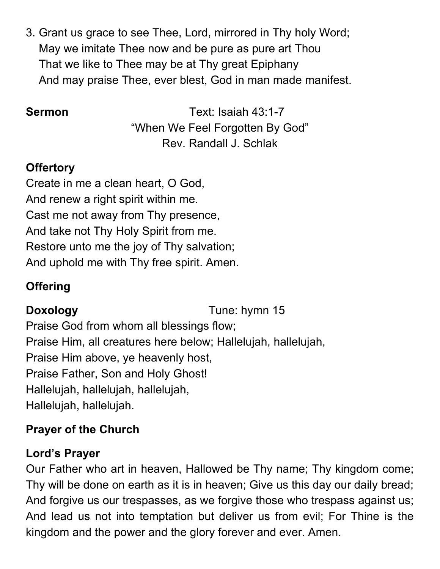3. Grant us grace to see Thee, Lord, mirrored in Thy holy Word; May we imitate Thee now and be pure as pure art Thou That we like to Thee may be at Thy great Epiphany And may praise Thee, ever blest, God in man made manifest.

**Sermon** Text: Isaiah 43:1-7 "When We Feel Forgotten By God" Rev. Randall J. Schlak

# **Offertory**

Create in me a clean heart, O God, And renew a right spirit within me. Cast me not away from Thy presence, And take not Thy Holy Spirit from me. Restore unto me the joy of Thy salvation; And uphold me with Thy free spirit. Amen.

# **Offering**

**Doxology** Tune: hymn 15

Praise God from whom all blessings flow; Praise Him, all creatures here below; Hallelujah, hallelujah, Praise Him above, ye heavenly host, Praise Father, Son and Holy Ghost! Hallelujah, hallelujah, hallelujah, Hallelujah, hallelujah.

# **Prayer of the Church**

# **Lord's Prayer**

Our Father who art in heaven, Hallowed be Thy name; Thy kingdom come; Thy will be done on earth as it is in heaven; Give us this day our daily bread; And forgive us our trespasses, as we forgive those who trespass against us; And lead us not into temptation but deliver us from evil; For Thine is the kingdom and the power and the glory forever and ever. Amen.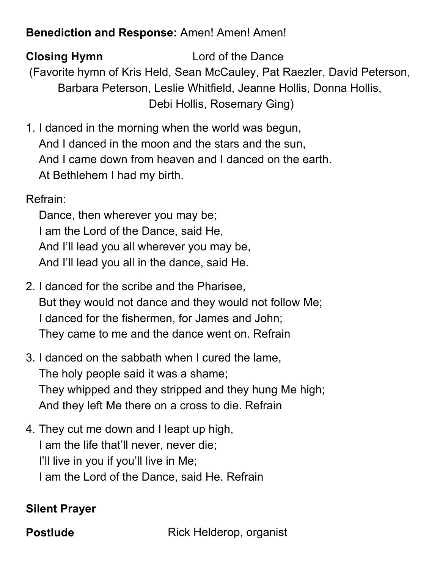# **Benediction and Response:** Amen! Amen! Amen!

**Closing Hymn Lord of the Dance** (Favorite hymn of Kris Held, Sean McCauley, Pat Raezler, David Peterson, Barbara Peterson, Leslie Whitfield, Jeanne Hollis, Donna Hollis, Debi Hollis, Rosemary Ging)

1. I danced in the morning when the world was begun, And I danced in the moon and the stars and the sun, And I came down from heaven and I danced on the earth. At Bethlehem I had my birth.

Refrain:

Dance, then wherever you may be; I am the Lord of the Dance, said He, And I'll lead you all wherever you may be, And I'll lead you all in the dance, said He.

- 2. I danced for the scribe and the Pharisee, But they would not dance and they would not follow Me; I danced for the fishermen, for James and John; They came to me and the dance went on. Refrain
- 3. I danced on the sabbath when I cured the lame, The holy people said it was a shame; They whipped and they stripped and they hung Me high; And they left Me there on a cross to die. Refrain
- 4. They cut me down and I leapt up high, I am the life that'll never, never die; I'll live in you if you'll live in Me; I am the Lord of the Dance, said He. Refrain

# **Silent Prayer**

**Postlude** Rick Helderop, organist